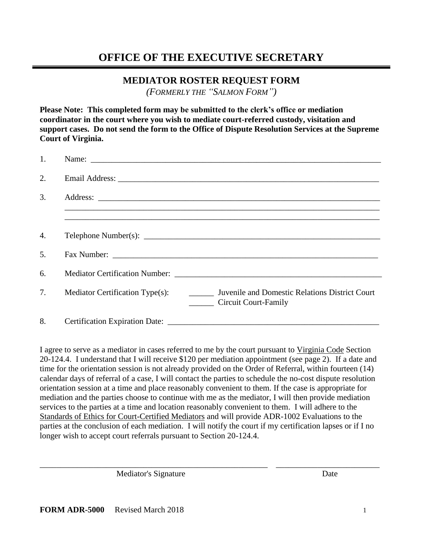# **OFFICE OF THE EXECUTIVE SECRETARY**

## **MEDIATOR ROSTER REQUEST FORM**

*(FORMERLY THE "SALMON FORM")*

**Please Note: This completed form may be submitted to the clerk's office or mediation coordinator in the court where you wish to mediate court-referred custody, visitation and support cases. Do not send the form to the Office of Dispute Resolution Services at the Supreme Court of Virginia.**

| 1.               |                                                                                                                                                                                                                                |
|------------------|--------------------------------------------------------------------------------------------------------------------------------------------------------------------------------------------------------------------------------|
| 2.               |                                                                                                                                                                                                                                |
| 3.               |                                                                                                                                                                                                                                |
|                  |                                                                                                                                                                                                                                |
| $\overline{4}$ . | Telephone Number(s): $\sqrt{\frac{1}{2} \sum_{n=1}^{n} (n-1)(n-1)}$                                                                                                                                                            |
| 5.               |                                                                                                                                                                                                                                |
| 6.               | Mediator Certification Number: New York 1988 and 2008. The Contract of the Contract of the Contract of the Contract of the Contract of the Contract of the Contract of the Contract of the Contract of the Contract of the Con |
| 7.               | Juvenile and Domestic Relations District Court<br>Mediator Certification Type(s):<br><b>Circuit Court-Family</b>                                                                                                               |
| 8.               | <b>Certification Expiration Date:</b>                                                                                                                                                                                          |

I agree to serve as a mediator in cases referred to me by the court pursuant to Virginia Code Section 20-124.4. I understand that I will receive \$120 per mediation appointment (see page 2). If a date and time for the orientation session is not already provided on the Order of Referral, within fourteen (14) calendar days of referral of a case, I will contact the parties to schedule the no-cost dispute resolution orientation session at a time and place reasonably convenient to them. If the case is appropriate for mediation and the parties choose to continue with me as the mediator, I will then provide mediation services to the parties at a time and location reasonably convenient to them. I will adhere to the Standards of Ethics for Court-Certified Mediators and will provide ADR-1002 Evaluations to the parties at the conclusion of each mediation. I will notify the court if my certification lapses or if I no longer wish to accept court referrals pursuant to Section 20-124.4.

\_\_\_\_\_\_\_\_\_\_\_\_\_\_\_\_\_\_\_\_\_\_\_\_\_\_\_\_\_\_\_\_\_\_\_\_\_\_\_\_\_\_\_\_\_\_\_\_\_\_\_\_\_\_\_ \_\_\_\_\_\_\_\_\_\_\_\_\_\_\_\_\_\_\_\_\_\_\_\_\_

Mediator's Signature Date